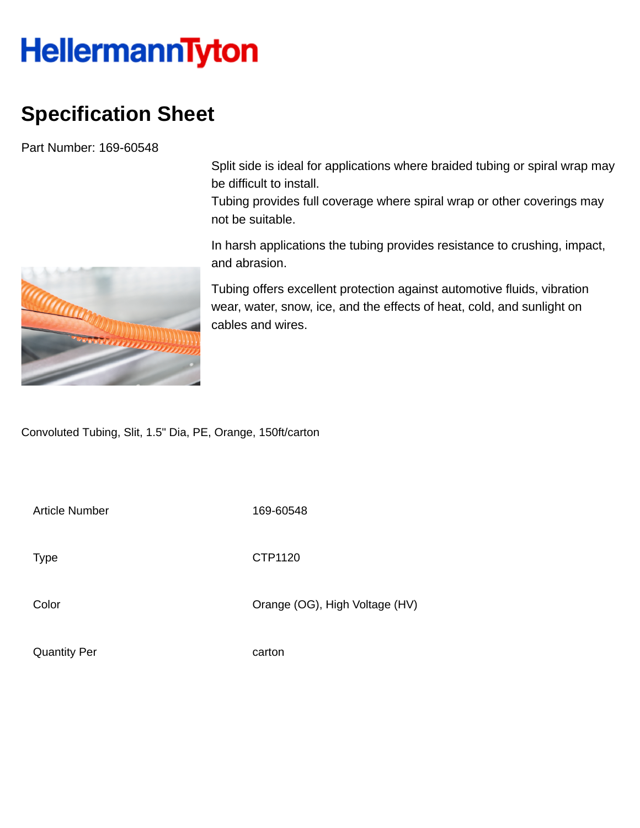## **HellermannTyton**

## **Specification Sheet**

Part Number: 169-60548

Split side is ideal for applications where braided tubing or spiral wrap may be difficult to install.

Tubing provides full coverage where spiral wrap or other coverings may not be suitable.

In harsh applications the tubing provides resistance to crushing, impact, and abrasion.

Tubing offers excellent protection against automotive fluids, vibration wear, water, snow, ice, and the effects of heat, cold, and sunlight on cables and wires.

Convoluted Tubing, Slit, 1.5" Dia, PE, Orange, 150ft/carton

Article Number 169-60548

Type **CTP1120** 

Color Color Color Color Color Color Color Color Color Color Color Color Color Color Color Color Color Color Co

Quantity Per carton

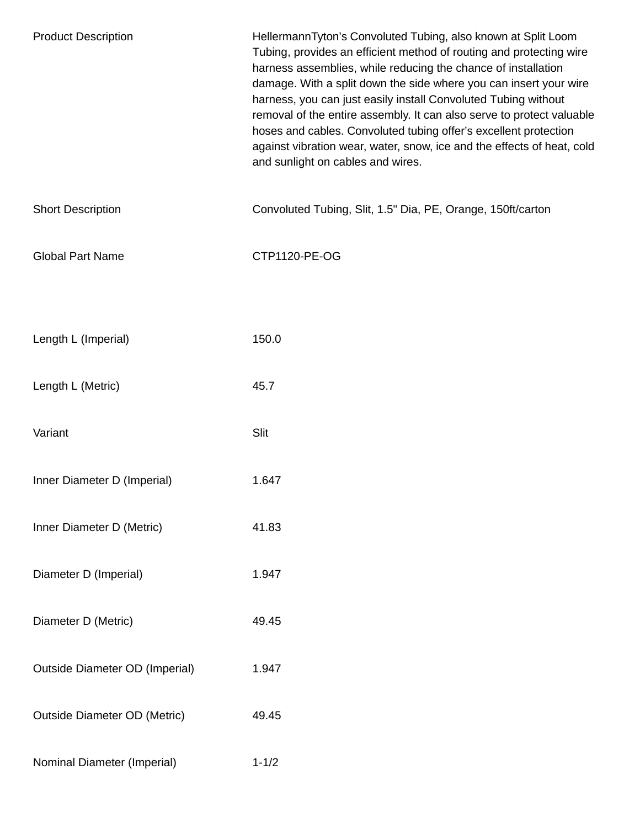| <b>Product Description</b>            | HellermannTyton's Convoluted Tubing, also known at Split Loom<br>Tubing, provides an efficient method of routing and protecting wire<br>harness assemblies, while reducing the chance of installation<br>damage. With a split down the side where you can insert your wire<br>harness, you can just easily install Convoluted Tubing without<br>removal of the entire assembly. It can also serve to protect valuable<br>hoses and cables. Convoluted tubing offer's excellent protection<br>against vibration wear, water, snow, ice and the effects of heat, cold<br>and sunlight on cables and wires. |
|---------------------------------------|----------------------------------------------------------------------------------------------------------------------------------------------------------------------------------------------------------------------------------------------------------------------------------------------------------------------------------------------------------------------------------------------------------------------------------------------------------------------------------------------------------------------------------------------------------------------------------------------------------|
| <b>Short Description</b>              | Convoluted Tubing, Slit, 1.5" Dia, PE, Orange, 150ft/carton                                                                                                                                                                                                                                                                                                                                                                                                                                                                                                                                              |
| <b>Global Part Name</b>               | CTP1120-PE-OG                                                                                                                                                                                                                                                                                                                                                                                                                                                                                                                                                                                            |
|                                       |                                                                                                                                                                                                                                                                                                                                                                                                                                                                                                                                                                                                          |
| Length L (Imperial)                   | 150.0                                                                                                                                                                                                                                                                                                                                                                                                                                                                                                                                                                                                    |
| Length L (Metric)                     | 45.7                                                                                                                                                                                                                                                                                                                                                                                                                                                                                                                                                                                                     |
| Variant                               | Slit                                                                                                                                                                                                                                                                                                                                                                                                                                                                                                                                                                                                     |
| Inner Diameter D (Imperial)           | 1.647                                                                                                                                                                                                                                                                                                                                                                                                                                                                                                                                                                                                    |
| Inner Diameter D (Metric)             | 41.83                                                                                                                                                                                                                                                                                                                                                                                                                                                                                                                                                                                                    |
| Diameter D (Imperial)                 | 1.947                                                                                                                                                                                                                                                                                                                                                                                                                                                                                                                                                                                                    |
| Diameter D (Metric)                   | 49.45                                                                                                                                                                                                                                                                                                                                                                                                                                                                                                                                                                                                    |
| <b>Outside Diameter OD (Imperial)</b> | 1.947                                                                                                                                                                                                                                                                                                                                                                                                                                                                                                                                                                                                    |
| <b>Outside Diameter OD (Metric)</b>   | 49.45                                                                                                                                                                                                                                                                                                                                                                                                                                                                                                                                                                                                    |
| Nominal Diameter (Imperial)           | $1 - 1/2$                                                                                                                                                                                                                                                                                                                                                                                                                                                                                                                                                                                                |